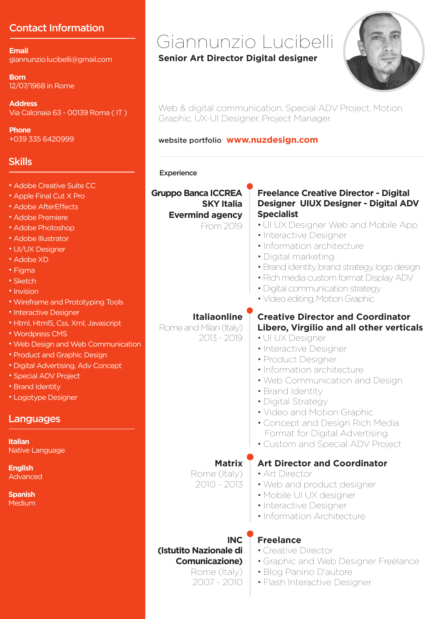# Contact Information

**Email** giannunzio.lucibelli@gmail.com

**Born** 12/07/1968 in Rome

**Address** Via Calcinaia 63 - 00139 Roma ( IT )

**Phone** +039 335 6420999

# **Skills**

- Adobe Creative Suite CC
- Apple Final Cut X Pro
- Adobe AfterEffects
- Adobe Premiere
- Adobe Photoshop
- Adobe Illustrator
- UI/UX Designer
- Adobe XD
- Figma
- Sketch
- Invision
- Wireframe and Prototyping Tools
- Interactive Designer
- Html, Html5, Css, Xml, Javascript
- Wordpress CMS
- Web Design and Web Communication
- Product and Graphic Design
- Digital Advertising, Adv Concept
- Special ADV Project
- Brand Identity
- Logotype Designer

### Languages

**Italian** Native Language

**English** Advanced

**Spanish Medium** 

# Giannunzio Lucibelli

#### **Senior Art Director Digital designer**



Web & digital communication, Special ADV Project, Motion Graphic, UX-UI Designer, Project Manager.

#### website portfolio **www.nuzdesign.com**

#### **Experience**

**Gruppo Banca ICCREA SKY Italia Evermind agency**

#### **Freelance Creative Director - Digital Designer UIUX Designer - Digital ADV Specialist**

- UI UX Designer Web and Mobile App
- Interactive Designer
- Information architecture
- Digital marketing
- Brand identity, brand strategy, logo design
- Rich media custom format Display ADV
- Digital communication strategy
- Video editing, Motion Graphic

#### **Italiaonline**

Rome and Milan (Italy) 2013 - 2019

### **Creative Director and Coordinator Libero, Virgilio and all other verticals**

- UI UX Designer
- Interactive Designer
- Product Designer
- Information architecture
- Web Communication and Design
- Brand Identity
- Digital Strategy
- Video and Motion Graphic
- Concept and Design Rich Media Format for Digital Advertising
- Custom and Special ADV Project

## **Art Director and Coordinator**

- Art Director
- Web and product designer
- Mobile UI UX designer
- Interactive Designer
- Information Architecture

# **(Istutito Nazionale di Comunicazione)**

Rome (Italy) 2007 - 2010

### **Freelance**

- Creative Director
- Graphic and Web Designer Freelance
- Blog Panino D'autore
- Flash Interactive Designer

From 2019

**INC** 

**Matrix** 

Rome (Italy) 2010 - 2013